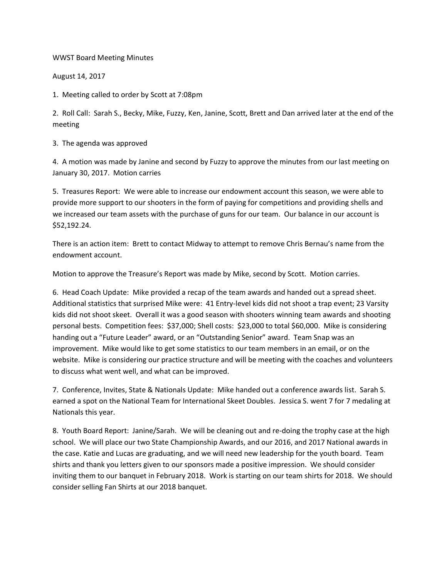WWST Board Meeting Minutes

August 14, 2017

1. Meeting called to order by Scott at 7:08pm

2. Roll Call: Sarah S., Becky, Mike, Fuzzy, Ken, Janine, Scott, Brett and Dan arrived later at the end of the meeting

3. The agenda was approved

4. A motion was made by Janine and second by Fuzzy to approve the minutes from our last meeting on January 30, 2017. Motion carries

5. Treasures Report: We were able to increase our endowment account this season, we were able to provide more support to our shooters in the form of paying for competitions and providing shells and we increased our team assets with the purchase of guns for our team. Our balance in our account is \$52,192.24.

There is an action item: Brett to contact Midway to attempt to remove Chris Bernau's name from the endowment account.

Motion to approve the Treasure's Report was made by Mike, second by Scott. Motion carries.

6. Head Coach Update: Mike provided a recap of the team awards and handed out a spread sheet. Additional statistics that surprised Mike were: 41 Entry-level kids did not shoot a trap event; 23 Varsity kids did not shoot skeet. Overall it was a good season with shooters winning team awards and shooting personal bests. Competition fees: \$37,000; Shell costs: \$23,000 to total \$60,000. Mike is considering handing out a "Future Leader" award, or an "Outstanding Senior" award. Team Snap was an improvement. Mike would like to get some statistics to our team members in an email, or on the website. Mike is considering our practice structure and will be meeting with the coaches and volunteers to discuss what went well, and what can be improved.

7. Conference, Invites, State & Nationals Update: Mike handed out a conference awards list. Sarah S. earned a spot on the National Team for International Skeet Doubles. Jessica S. went 7 for 7 medaling at Nationals this year.

8. Youth Board Report: Janine/Sarah. We will be cleaning out and re-doing the trophy case at the high school. We will place our two State Championship Awards, and our 2016, and 2017 National awards in the case. Katie and Lucas are graduating, and we will need new leadership for the youth board. Team shirts and thank you letters given to our sponsors made a positive impression. We should consider inviting them to our banquet in February 2018. Work is starting on our team shirts for 2018. We should consider selling Fan Shirts at our 2018 banquet.